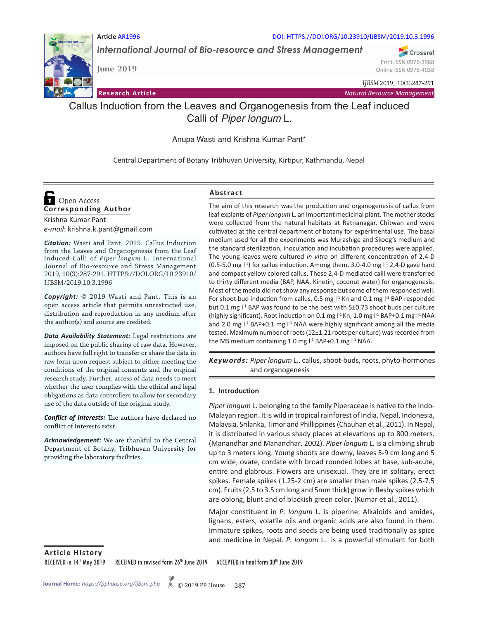

**June 2019**

**Article** AR1996 DOI: HTTPS://DOI.ORG/10.23910/IJBSM/2019.10.3.1996

*International Journal of Bio-resource and Stress Management*

Crossref Print ISSN 0976-3988 Online ISSN 0976-4038

*IJBSM* 2019, 10(3):287-291

**Research Article** *Natural Resource Management*

# Callus Induction from the Leaves and Organogenesis from the Leaf induced Calli of *Piper longum* L.

Anupa Wasti and Krishna Kumar Pant\*

Central Department of Botany Tribhuvan University, Kirtipur, Kathmandu, Nepal

## Krishna Kumar Pant **Corresponding Author**  Open Access

*e-mail*: krishna.k.pant@gmail.com

*Citation:* Wasti and Pant, 2019. Callus Induction from the Leaves and Organogenesis from the Leaf induced Calli of *Piper longum* L. International Journal of Bio-resource and Stress Management 2019, 10(3):287-291. HTTPS://DOI.ORG/10.23910/ IJBSM/2019.10.3.1996

*Copyright:* © 2019 Wasti and Pant. This is an open access article that permits unrestricted use, distribution and reproduction in any medium after the author(s) and source are credited.

*Data Availability Statement:* Legal restrictions are imposed on the public sharing of raw data. However, authors have full right to transfer or share the data in raw form upon request subject to either meeting the conditions of the original consents and the original research study. Further, access of data needs to meet whether the user complies with the ethical and legal obligations as data controllers to allow for secondary use of the data outside of the original study.

*Conflict of interests:* The authors have declared no conflict of interests exist.

*Acknowledgement:* We are thankful to the Central Department of Botany, Tribhuvan University for providing the laboratory facilities.

## **Abstract**

The aim of this research was the production and organogenesis of callus from leaf explants of *Piper longum* L. an important medicinal plant. The mother stocks were collected from the natural habitats at Ratnanagar, Chitwan and were cultivated at the central department of botany for experimental use. The basal medium used for all the experiments was Murashige and Skoog's medium and the standard sterilization, inoculation and incubation procedures were applied. The young leaves were cultured *in vitro* on different concentration of 2,4-D (0.5-5.0 mg  $\binom{11}{1}$  for callus induction. Among them, 3.0-4.0 mg  $\binom{11}{2}$ ,4-D gave hard and compact yellow colored callus. These 2,4-D mediated calli were transferred to thirty different media (BAP, NAA, Kinetin, coconut water) for organogenesis. Most of the media did not show any response but some of them responded well. For shoot bud induction from callus, 0.5 mg  $I<sup>1</sup>$  Kn and 0.1 mg  $I<sup>1</sup>$  BAP responded but 0.1 mg  $I<sup>-1</sup>$  BAP was found to be the best with 5 $\pm$ 0.73 shoot buds per culture (highly significant). Root induction on 0.1 mg  $I<sup>-1</sup>$  Kn, 1.0 mg  $I<sup>-1</sup>$  BAP+0.1 mg  $I<sup>-1</sup>$  NAA and 2.0 mg  $1<sup>1</sup>$  BAP+0.1 mg  $1<sup>1</sup>$  NAA were highly significant among all the media tested. Maximum number of roots (12±1.21 roots per culture) was recorded from the MS medium containing 1.0 mg l<sup>-1</sup> BAP+0.1 mg l<sup>-1</sup> NAA.

Keywords: Piper longum L., callus, shoot-buds, roots, phyto-hormones and organogenesis

#### **1. Introduction**

*Piper longum* L. belonging to the family Piperaceae is native to the Indo-Malayan region. It is wild in tropical rainforest of India, Nepal, Indonesia, Malaysia, Srilanka, Timor and Phillippines (Chauhan et al., 2011). In Nepal, it is distributed in various shady places at elevations up to 800 meters. (Manandhar and Manandhar, 2002). *Piper longum* L. is a climbing shrub up to 3 meters long. Young shoots are downy, leaves 5-9 cm long and 5 cm wide, ovate, cordate with broad rounded lobes at base, sub-acute, entire and glabrous. Flowers are unisexual. They are in solitary, erect spikes. Female spikes (1.25-2 cm) are smaller than male spikes (2.5-7.5 cm). Fruits (2.5 to 3.5 cm long and 5mm thick) grow in fleshy spikes which are oblong, blunt and of blackish green color. (Kumar et al., 2011).

Major constituent in *P. longum* L. is piperine. Alkaloids and amides, lignans, esters, volatile oils and organic acids are also found in them. Immature spikes, roots and seeds are being used traditionally as spice and medicine in Nepal. *P. longum* L. is a powerful stimulant for both

**Article History**

RECEIVED in 14<sup>th</sup> May 2019 RECEIVED in revised form 26<sup>th</sup> June 2019 ACCEPTED in final form 30<sup>th</sup> June 2019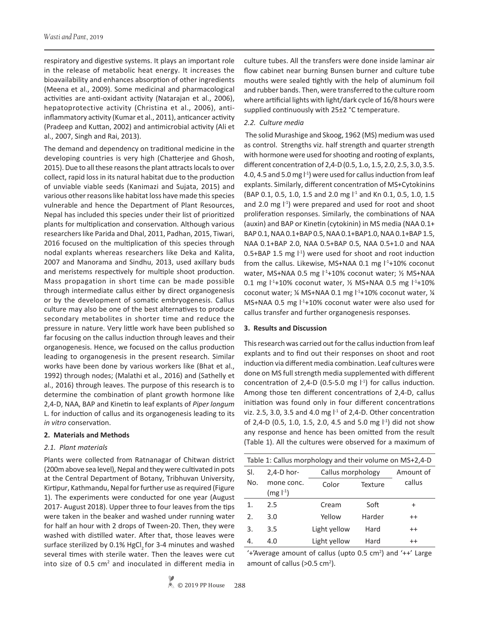respiratory and digestive systems. It plays an important role in the release of metabolic heat energy. It increases the bioavailability and enhances absorption of other ingredients (Meena et al., 2009). Some medicinal and pharmacological activities are anti-oxidant activity (Natarajan et al., 2006), hepatoprotective activity (Christina et al., 2006), antiinflammatory activity (Kumar et al., 2011), anticancer activity (Pradeep and Kuttan, 2002) and antimicrobial activity (Ali et al., 2007, Singh and Rai, 2013).

The demand and dependency on traditional medicine in the developing countries is very high (Chatterjee and Ghosh, 2015). Due to all these reasons the plant attracts locals to over collect, rapid loss in its natural habitat due to the production of unviable viable seeds (Kanimazi and Sujata, 2015) and various other reasons like habitat loss have made this species vulnerable and hence the Department of Plant Resources, Nepal has included this species under their list of prioritized plants for multiplication and conservation. Although various researchers like Parida and Dhal, 2011, Padhan, 2015, Tiwari, 2016 focused on the multiplication of this species through nodal explants whereas researchers like Deka and Kalita, 2007 and Manorama and Sindhu, 2013, used axillary buds and meristems respectively for multiple shoot production. Mass propagation in short time can be made possible through intermediate callus either by direct organogenesis or by the development of somatic embryogenesis. Callus culture may also be one of the best alternatives to produce secondary metabolites in shorter time and reduce the pressure in nature. Very little work have been published so far focusing on the callus induction through leaves and their organogenesis. Hence, we focused on the callus production leading to organogenesis in the present research. Similar works have been done by various workers like (Bhat et al., 1992) through nodes; (Malathi et al., 2016) and (Sathelly et al., 2016) through leaves. The purpose of this research is to determine the combination of plant growth hormone like 2,4-D, NAA, BAP and Kinetin to leaf explants of *Piper longum* L. for induction of callus and its organogenesis leading to its *in vitro* conservation.

#### **2. Materials and Methods**

#### *2.1. Plant materials*

Plants were collected from Ratnanagar of Chitwan district (200m above sea level), Nepal and they were cultivated in pots at the Central Department of Botany, Tribhuvan University, Kirtipur, Kathmandu, Nepal for further use as required (Figure 1). The experiments were conducted for one year (August 2017- August 2018). Upper three to four leaves from the tips were taken in the beaker and washed under running water for half an hour with 2 drops of Tween-20. Then, they were washed with distilled water. After that, those leaves were surface sterilized by 0.1% HgCl<sub>2</sub> for 3-4 minutes and washed several times with sterile water. Then the leaves were cut into size of 0.5 cm<sup>2</sup> and inoculated in different media in culture tubes. All the transfers were done inside laminar air flow cabinet near burning Bunsen burner and culture tube mouths were sealed tightly with the help of aluminum foil and rubber bands. Then, were transferred to the culture room where artificial lights with light/dark cycle of 16/8 hours were supplied continuously with 25±2 °C temperature.

#### *2.2. Culture media*

 The solid Murashige and Skoog, 1962 (MS) medium was used as control. Strengths viz. half strength and quarter strength with hormone were used for shooting and rooting of explants, different concentration of 2,4-D (0.5, 1.o, 1.5, 2.0, 2.5, 3.0, 3.5. 4.0, 4.5 and 5.0 mg  $\vert$ <sup>-1</sup>) were used for callus induction from leaf explants. Similarly, different concentration of MS+Cytokinins (BAP 0.1, 0.5, 1.0, 1.5 and 2.0 mg  $1<sup>-1</sup>$  and Kn 0.1, 0.5, 1.0, 1.5 and 2.0 mg  $\vert$ <sup>1</sup>) were prepared and used for root and shoot proliferation responses. Similarly, the combinations of NAA (auxin) and BAP or Kinetin (cytokinin) in MS media (NAA 0.1+ BAP 0.1, NAA 0.1+BAP 0.5, NAA 0.1+BAP1.0, NAA 0.1+BAP 1.5, NAA 0.1+BAP 2.0, NAA 0.5+BAP 0.5, NAA 0.5+1.0 and NAA  $0.5+BAP$  1.5 mg  $\vert^{1}$ ) were used for shoot and root induction from the callus. Likewise, MS+NAA 0.1 mg  $I<sup>-1</sup>+10$ % coconut water, MS+NAA 0.5 mg l<sup>-1</sup>+10% coconut water; 1/2 MS+NAA 0.1 mg  $1^4+10\%$  coconut water,  $\frac{1}{2}$  MS+NAA 0.5 mg  $1^4+10\%$ coconut water; ¼ MS+NAA 0.1 mg l<sup>-1</sup>+10% coconut water, ¼ MS+NAA 0.5 mg  $1<sup>1</sup>$ +10% coconut water were also used for callus transfer and further organogenesis responses.

#### **3. Results and Discussion**

This research was carried out for the callus induction from leaf explants and to find out their responses on shoot and root induction via different media combination. Leaf cultures were done on MS full strength media supplemented with different concentration of 2,4-D (0.5-5.0 mg  $\vert$ <sup>-1</sup>) for callus induction. Among those ten different concentrations of 2,4-D, callus initiation was found only in four different concentrations viz. 2.5, 3.0, 3.5 and 4.0 mg  $1<sup>1</sup>$  of 2,4-D. Other concentration of 2,4-D (0.5, 1.0, 1.5, 2.0, 4.5 and 5.0 mg  $\vert$ <sup>-1</sup>) did not show any response and hence has been omitted from the result (Table 1). All the cultures were observed for a maximum of

| Table 1: Callus morphology and their volume on MS+2,4-D |                         |                   |                |           |  |  |  |  |
|---------------------------------------------------------|-------------------------|-------------------|----------------|-----------|--|--|--|--|
| SI.                                                     | $2,4-D$ hor-            | Callus morphology |                | Amount of |  |  |  |  |
| No.                                                     | mone conc.<br>$(mg -1)$ | Color             | <b>Texture</b> | callus    |  |  |  |  |
| 1.                                                      | 2.5                     | Cream             | Soft           | $\ddot{}$ |  |  |  |  |
| $\mathfrak{D}$ .                                        | 3.0                     | Yellow            | Harder         | $++$      |  |  |  |  |
| 3.                                                      | 3.5                     | Light yellow      | Hard           | $++$      |  |  |  |  |
| 4.                                                      | 4.0                     | Light yellow      | Hard           | $++$      |  |  |  |  |

 $'+$ 'Average amount of callus (upto 0.5 cm<sup>2</sup>) and  $'++$ ' Large amount of callus ( $>0.5$  cm<sup>2</sup>).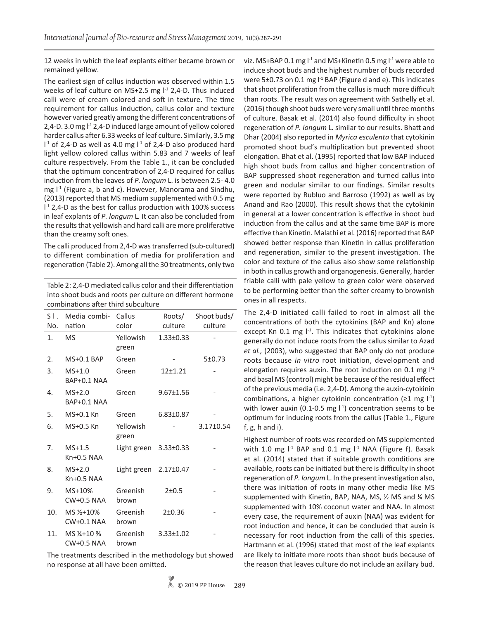12 weeks in which the leaf explants either became brown or remained yellow.

The earliest sign of callus induction was observed within 1.5 weeks of leaf culture on MS+2.5 mg l<sup>-1</sup> 2,4-D. Thus induced calli were of cream colored and soft in texture. The time requirement for callus induction, callus color and texture however varied greatly among the different concentrations of 2,4-D. 3.0 mg  $1<sup>-1</sup>$  2,4-D induced large amount of yellow colored harder callus after 6.33 weeks of leaf culture. Similarly, 3.5 mg  $1<sup>-1</sup>$  of 2,4-D as well as 4.0 mg  $1<sup>-1</sup>$  of 2,4-D also produced hard light yellow colored callus within 5.83 and 7 weeks of leaf culture respectively. From the Table 1., it can be concluded that the optimum concentration of 2,4-D required for callus induction from the leaves of *P. longum* L. is between 2.5- 4.0 mg  $I<sup>-1</sup>$  (Figure a, b and c). However, Manorama and Sindhu, (2013) reported that MS medium supplemented with 0.5 mg I<sup>-1</sup> 2,4-D as the best for callus production with 100% success in leaf explants of *P. longum* L*.* It can also be concluded from the results that yellowish and hard calli are more proliferative than the creamy soft ones.

The calli produced from 2,4-D was transferred (sub-cultured) to different combination of media for proliferation and regeneration (Table 2). Among all the 30 treatments, only two

| Table 2: 2,4-D mediated callus color and their differentiation |
|----------------------------------------------------------------|
| into shoot buds and roots per culture on different hormone     |
| combinations after third subculture                            |

| $S$ $\overline{\phantom{a}}$ . | Media combi-                                  | Callus             | Roots/          | Shoot buds/     |
|--------------------------------|-----------------------------------------------|--------------------|-----------------|-----------------|
| No.                            | nation                                        | color              | culture         | culture         |
| 1.                             | <b>MS</b>                                     | Yellowish<br>green | $1.33 \pm 0.33$ |                 |
| 2.                             | <b>MS+0.1 BAP</b>                             | Green              |                 | 5±0.73          |
| 3.                             | $MS+1.0$<br>BAP+0.1 NAA                       | Green              | $12+1.21$       |                 |
| 4.                             | $MS+2.0$<br>BAP+0.1 NAA                       | Green              | $9.67 \pm 1.56$ |                 |
| 5.                             | MS+0.1 Kn                                     | Green              | $6.83 \pm 0.87$ |                 |
| 6.                             | MS+0.5 Kn                                     | Yellowish<br>green |                 | $3.17 \pm 0.54$ |
| 7.                             | $MS+1.5$<br>$Kn+0.5 NAA$                      | Light green        | $3.33 \pm 0.33$ |                 |
| 8.                             | $MS+2.0$<br>$Kn+0.5 NAA$                      | Light green        | $2.17 \pm 0.47$ |                 |
| 9.                             | MS+10%<br><b>CW+0.5 NAA</b>                   | Greenish<br>brown  | $2 + 0.5$       |                 |
| 10.                            | MS 1/ <sub>2</sub> +10%<br>$CW+0.1$ NAA       | Greenish<br>brown  | 2±0.36          |                 |
| 11.                            | MS 1/ <sub>4</sub> +10 %<br><b>CW+0.5 NAA</b> | Greenish<br>brown  | $3.33 \pm 1.02$ |                 |
|                                |                                               |                    |                 |                 |

The treatments described in the methodology but showed no response at all have been omitted.

viz. MS+BAP 0.1 mg  $I<sup>-1</sup>$  and MS+Kinetin 0.5 mg  $I<sup>-1</sup>$  were able to induce shoot buds and the highest number of buds recorded were 5 $\pm$ 0.73 on 0.1 mg  $l^{-1}$  BAP (Figure d and e). This indicates that shoot proliferation from the callus is much more difficult than roots. The result was on agreement with Sathelly et al. (2016) though shoot buds were very small until three months of culture. Basak et al. (2014) also found difficulty in shoot regeneration of *P. longum* L. similar to our results. Bhatt and Dhar (2004) also reported in *Myrica esculenta* that cytokinin promoted shoot bud's multiplication but prevented shoot elongation. Bhat et al. (1995) reported that low BAP induced high shoot buds from callus and higher concentration of BAP suppressed shoot regeneration and turned callus into green and nodular similar to our findings. Similar results were reported by Rubluo and Barroso (1992) as well as by Anand and Rao (2000). This result shows that the cytokinin in general at a lower concentration is effective in shoot bud induction from the callus and at the same time BAP is more effective than Kinetin. Malathi et al. (2016) reported that BAP showed better response than Kinetin in callus proliferation and regeneration, similar to the present investigation. The color and texture of the callus also show some relationship in both in callus growth and organogenesis. Generally, harder friable calli with pale yellow to green color were observed to be performing better than the softer creamy to brownish ones in all respects.

The 2,4-D initiated calli failed to root in almost all the concentrations of both the cytokinins (BAP and Kn) alone except Kn 0.1 mg  $I<sup>-1</sup>$ . This indicates that cytokinins alone generally do not induce roots from the callus similar to Azad *et al.,* (2003), who suggested that BAP only do not produce roots because *in vitro* root initiation, development and elongation requires auxin. The root induction on 0.1 mg  $I<sup>11</sup>$ and basal MS (control) might be because of the residual effect of the previous media (i.e. 2,4-D). Among the auxin-cytokinin combinations, a higher cytokinin concentration ( $\geq 1$  mg  $\vert^{1}$ ) with lower auxin (0.1-0.5 mg  $\vert$ <sup>-1</sup>) concentration seems to be optimum for inducing roots from the callus (Table 1., Figure f, g, h and i).

Highest number of roots was recorded on MS supplemented with 1.0 mg  $I<sup>-1</sup>$  BAP and 0.1 mg  $I<sup>-1</sup>$  NAA (Figure f). Basak et al. (2014) stated that if suitable growth conditions are available, roots can be initiated but there is difficulty in shoot regeneration of *P. longum* L. In the present investigation also, there was initiation of roots in many other media like MS supplemented with Kinetin, BAP, NAA, MS, ½ MS and ¼ MS supplemented with 10% coconut water and NAA. In almost every case, the requirement of auxin (NAA) was evident for root induction and hence, it can be concluded that auxin is necessary for root induction from the calli of this species. Hartmann et al. (1996) stated that most of the leaf explants are likely to initiate more roots than shoot buds because of the reason that leaves culture do not include an axillary bud.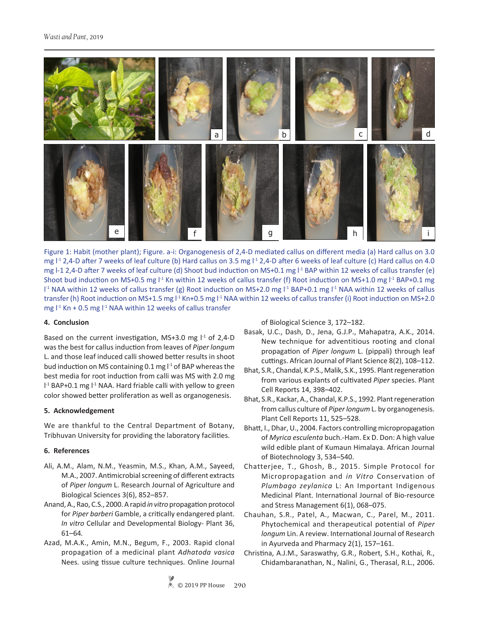



#### **4. Conclusion**

Based on the current investigation, MS+3.0 mg  $I<sup>-1</sup>$  of 2,4-D was the best for callus induction from leaves of *Piper longum* L. and those leaf induced calli showed better results in shoot bud induction on MS containing 0.1 mg  $l^{-1}$  of BAP whereas the best media for root induction from calli was MS with 2.0 mg I<sup>-1</sup> BAP+0.1 mg I<sup>-1</sup> NAA. Hard friable calli with yellow to green color showed better proliferation as well as organogenesis.

#### **5. Acknowledgement**

We are thankful to the Central Department of Botany, Tribhuvan University for providing the laboratory facilities.

### **6. References**

- Ali, A.M., Alam, N.M., Yeasmin, M.S., Khan, A.M., Sayeed, M.A., 2007. Antimicrobial screening of different extracts of *Piper longum* L. Research Journal of Agriculture and Biological Sciences 3(6), 852–857.
- Anand, A., Rao, C.S., 2000. A rapid *in vitro* propagation protocol for *Piper barberi* Gamble, a critically endangered plant. *In vitro* Cellular and Developmental Biology- Plant 36, 61–64*.*
- Azad, M.A.K., Amin, M.N., Begum, F., 2003. Rapid clonal propagation of a medicinal plant *Adhatoda vasica*  Nees. using tissue culture techniques. Online Journal

of Biological Science 3, 172–182.

- Basak, U.C., Dash, D., Jena, G.J.P., Mahapatra, A.K., 2014. New technique for adventitious rooting and clonal propagation of *Piper longum* L. (pippali) through leaf cuttings. African Journal of Plant Science 8(2), 108–112.
- Bhat, S.R., Chandal, K.P.S., Malik, S.K., 1995. Plant regeneration from various explants of cultivated *Piper* species. Plant Cell Reports 14, 398–402.
- Bhat, S.R., Kackar, A., Chandal, K.P.S., 1992. Plant regeneration from callus culture of *Piper longum* L. by organogenesis. Plant Cell Reports 11, 525–528.
- Bhatt, I., Dhar, U., 2004. Factors controlling micropropagation of *Myrica esculenta* buch.-Ham. Ex D. Don: A high value wild edible plant of Kumaun Himalaya. African Journal of Biotechnology 3, 534–540.
- Chatterjee, T., Ghosh, B., 2015. Simple Protocol for Micropropagation and *in Vitro* Conservation of *Plumbago zeylanica* L: An Important Indigenous Medicinal Plant. International Journal of Bio-resource and Stress Management 6(1), 068–075.
- Chauhan, S.R., Patel, A., Macwan, C., Parel, M., 2011. Phytochemical and therapeutical potential of *Piper longum* Lin. A review. International Journal of Research in Ayurveda and Pharmacy 2(1), 157–161.
- Christina, A.J.M., Saraswathy, G.R., Robert, S.H., Kothai, R., Chidambaranathan, N., Nalini, G., Therasal, R.L., 2006.